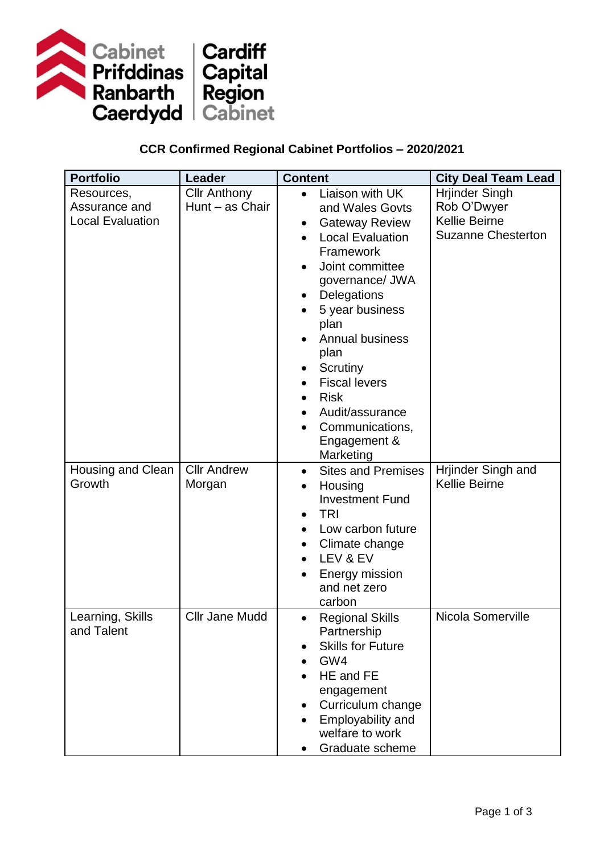

## **CCR Confirmed Regional Cabinet Portfolios – 2020/2021**

| <b>Portfolio</b>        | Leader                | <b>Content</b>                         | <b>City Deal Team Lead</b> |
|-------------------------|-----------------------|----------------------------------------|----------------------------|
| Resources,              | <b>Cllr Anthony</b>   | Liaison with UK<br>$\bullet$           | <b>Hrjinder Singh</b>      |
| Assurance and           | Hunt - as Chair       | and Wales Govts                        | Rob O'Dwyer                |
| <b>Local Evaluation</b> |                       | <b>Gateway Review</b>                  | Kellie Beirne              |
|                         |                       | <b>Local Evaluation</b>                | <b>Suzanne Chesterton</b>  |
|                         |                       | Framework                              |                            |
|                         |                       | Joint committee                        |                            |
|                         |                       | governance/ JWA                        |                            |
|                         |                       | Delegations                            |                            |
|                         |                       | 5 year business                        |                            |
|                         |                       | plan                                   |                            |
|                         |                       | <b>Annual business</b>                 |                            |
|                         |                       | plan                                   |                            |
|                         |                       | Scrutiny                               |                            |
|                         |                       | <b>Fiscal levers</b>                   |                            |
|                         |                       | <b>Risk</b>                            |                            |
|                         |                       | Audit/assurance<br>$\bullet$           |                            |
|                         |                       | Communications,<br>$\bullet$           |                            |
|                         |                       | Engagement &                           |                            |
|                         |                       | Marketing                              |                            |
| Housing and Clean       | <b>Cllr Andrew</b>    | <b>Sites and Premises</b><br>$\bullet$ | Hrjinder Singh and         |
| Growth                  | Morgan                | Housing<br>$\bullet$                   | <b>Kellie Beirne</b>       |
|                         |                       | <b>Investment Fund</b>                 |                            |
|                         |                       | <b>TRI</b>                             |                            |
|                         |                       | Low carbon future<br>$\bullet$         |                            |
|                         |                       | Climate change                         |                            |
|                         |                       | LEV & EV<br>$\bullet$                  |                            |
|                         |                       | Energy mission                         |                            |
|                         |                       | and net zero                           |                            |
|                         |                       | carbon                                 |                            |
| Learning, Skills        | <b>Cllr Jane Mudd</b> | <b>Regional Skills</b><br>$\bullet$    | Nicola Somerville          |
| and Talent              |                       | Partnership                            |                            |
|                         |                       | <b>Skills for Future</b>               |                            |
|                         |                       | GW4                                    |                            |
|                         |                       | HE and FE                              |                            |
|                         |                       | engagement                             |                            |
|                         |                       | Curriculum change                      |                            |
|                         |                       | Employability and                      |                            |
|                         |                       | welfare to work                        |                            |
|                         |                       | Graduate scheme                        |                            |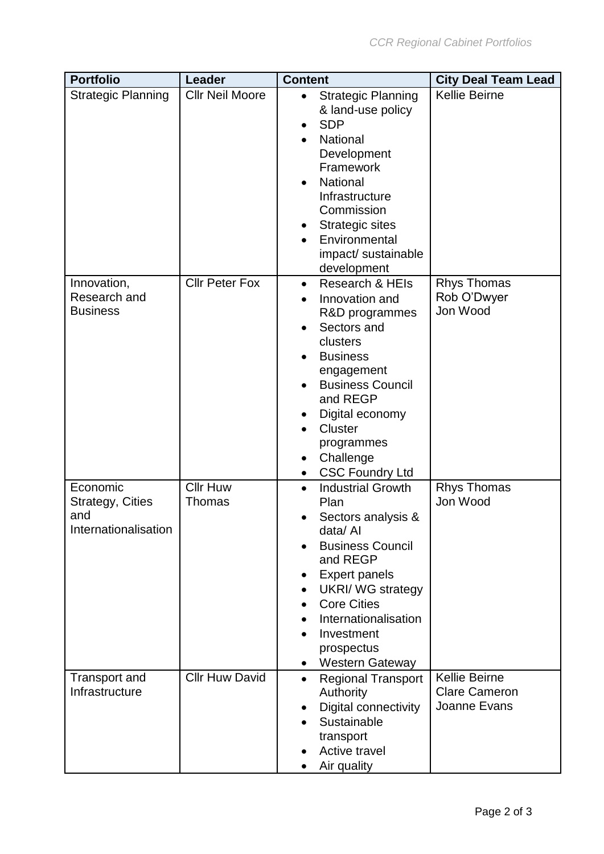| <b>Portfolio</b>                                                   | Leader                    | <b>Content</b>                                                                                                                                                                                                                                                                              | <b>City Deal Team Lead</b>                                   |
|--------------------------------------------------------------------|---------------------------|---------------------------------------------------------------------------------------------------------------------------------------------------------------------------------------------------------------------------------------------------------------------------------------------|--------------------------------------------------------------|
| <b>Strategic Planning</b>                                          | <b>Cllr Neil Moore</b>    | <b>Strategic Planning</b><br>$\bullet$<br>& land-use policy<br><b>SDP</b><br>National<br>Development<br>Framework<br>National<br>$\bullet$<br>Infrastructure<br>Commission<br><b>Strategic sites</b><br>Environmental<br>impact/ sustainable<br>development                                 | <b>Kellie Beirne</b>                                         |
| Innovation,<br>Research and<br><b>Business</b>                     | <b>Cllr Peter Fox</b>     | Research & HEIs<br>$\bullet$<br>Innovation and<br>R&D programmes<br>Sectors and<br>clusters<br><b>Business</b><br>engagement<br><b>Business Council</b><br>and REGP<br>Digital economy<br><b>Cluster</b><br>programmes<br>Challenge<br>$\bullet$<br><b>CSC Foundry Ltd</b><br>$\bullet$     | <b>Rhys Thomas</b><br>Rob O'Dwyer<br>Jon Wood                |
| Economic<br><b>Strategy, Cities</b><br>and<br>Internationalisation | <b>Cllr Huw</b><br>Thomas | <b>Industrial Growth</b><br>$\bullet$<br>Plan<br>Sectors analysis &<br>data/ Al<br><b>Business Council</b><br>and REGP<br><b>Expert panels</b><br><b>UKRI/ WG strategy</b><br><b>Core Cities</b><br>Internationalisation<br>Investment<br>prospectus<br><b>Western Gateway</b><br>$\bullet$ | <b>Rhys Thomas</b><br>Jon Wood                               |
| <b>Transport and</b><br>Infrastructure                             | <b>Cllr Huw David</b>     | <b>Regional Transport</b><br>$\bullet$<br>Authority<br>Digital connectivity<br>Sustainable<br>transport<br>Active travel<br>Air quality                                                                                                                                                     | <b>Kellie Beirne</b><br><b>Clare Cameron</b><br>Joanne Evans |